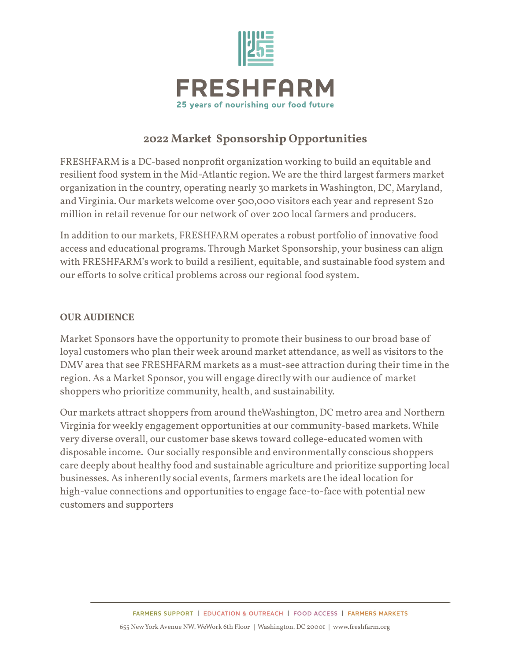

# **2022 Market Sponsorship Opportunities**

FRESHFARM is a DC-based nonprofit organization working to build an equitable and resilient food system in the Mid-Atlantic region. We are the third largest farmers market organization in the country, operating nearly 30 markets in Washington, DC, Maryland, andVirginia. Our markets welcome over 500,000 visitors each year and represent \$2o million in retail revenue for our network of over 200 local farmers and producers.

In addition to our markets, FRESHFARM operates a robust portfolio of innovative food access and educational programs. Through Market Sponsorship, your business can align with FRESHFARM's work to build a resilient, equitable, and sustainable food system and our efforts to solve critical problems across our regional food system.

## **OUR AUDIENCE**

Market Sponsors have the opportunity to promote their business to our broad base of loyal customers who plan their week around market attendance, as well as visitors to the DMVarea that see FRESHFARM markets as a must-see attraction during their time in the region. As a Market Sponsor, you will engage directlywith our audience of market shoppers who prioritize community, health, and sustainability.

Our markets attract shoppers from around theWashington, DC metro area and Northern Virginia for weekly engagement opportunities at our community-based markets. While very diverse overall, our customer base skews toward college-educated women with disposable income. Our socially responsible and environmentally conscious shoppers care deeply about healthy food and sustainable agriculture and prioritize supporting local businesses. As inherently social events, farmers markets are the ideal location for high-value connections and opportunities to engage face-to-face with potential new customers and supporters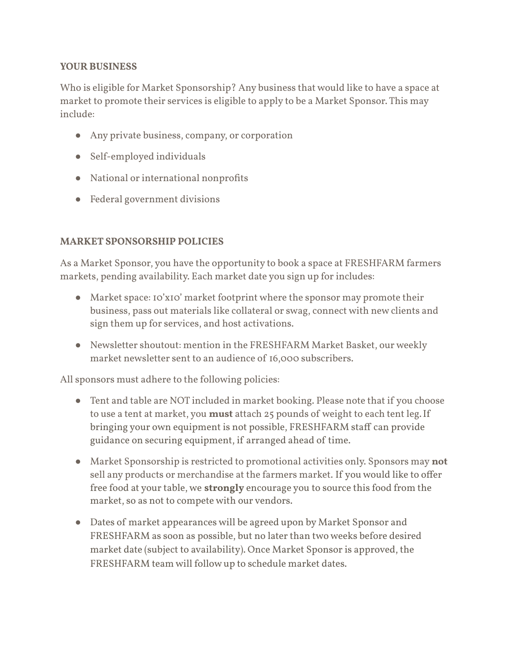## **YOUR BUSINESS**

Who is eligible for Market Sponsorship? Any business that would like to have a space at market to promote their services is eligible to apply to be a Market Sponsor. This may include:

- Any private business, company, or corporation
- Self-employed individuals
- National or international nonprofits
- Federal government divisions

## **MARKET SPONSORSHIP POLICIES**

As a Market Sponsor, you have the opportunity to book a space at FRESHFARM farmers markets, pending availability. Each market date you sign up for includes:

- Market space: 10'x10' market footprint where the sponsor may promote their business, pass out materials like collateral or swag, connect with new clients and sign them up for services, and host activations.
- Newsletter shoutout: mention in the FRESHFARM Market Basket, our weekly market newsletter sent to an audience of 16,000 subscribers.

All sponsors must adhere to the following policies:

- Tent and table are NOT included in market booking. Please note that if you choose to use a tent at market, you **must** attach 25 pounds of weight to each tent leg.If bringing your own equipment is not possible, FRESHFARM staff can provide guidance on securing equipment, if arranged ahead of time.
- Market Sponsorship is restricted to promotional activities only. Sponsors may **not** sell any products or merchandise at the farmers market. If you would like to offer free food at your table, we **strongly** encourage you to source this food from the market, so as not to compete with our vendors.
- Dates of market appearances will be agreed upon by Market Sponsor and FRESHFARM as soon as possible, but no later than two weeks before desired market date (subject to availability). Once Market Sponsor is approved, the FRESHFARM team will follow up to schedule market dates.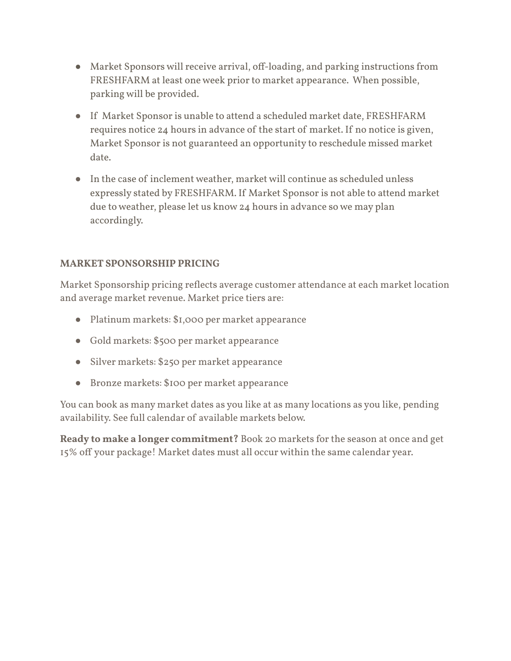- Market Sponsors will receive arrival, off-loading, and parking instructions from FRESHFARM at least one week prior to market appearance. When possible, parking will be provided.
- If Market Sponsor is unable to attend a scheduled market date, FRESHFARM requires notice 24 hours in advance of the start of market. If no notice is given, Market Sponsor is not guaranteed an opportunity to reschedule missed market date.
- In the case of inclement weather, market will continue as scheduled unless expressly stated by FRESHFARM. If Market Sponsor is not able to attend market due to weather, please let us know 24 hours in advance so we may plan accordingly.

## **MARKET SPONSORSHIP PRICING**

Market Sponsorship pricing reflects average customer attendance at each market location and average market revenue. Market price tiers are:

- Platinum markets: \$1,000 per market appearance
- Gold markets: \$500 per market appearance
- Silver markets: \$250 per market appearance
- Bronze markets: \$100 per market appearance

You can book as many market dates as you like at as many locations as you like, pending availability. See full calendar of available markets below.

**Ready to make a longer commitment?** Book 20 markets for the season at once and get 15% off your package! Market dates must all occur within the same calendar year.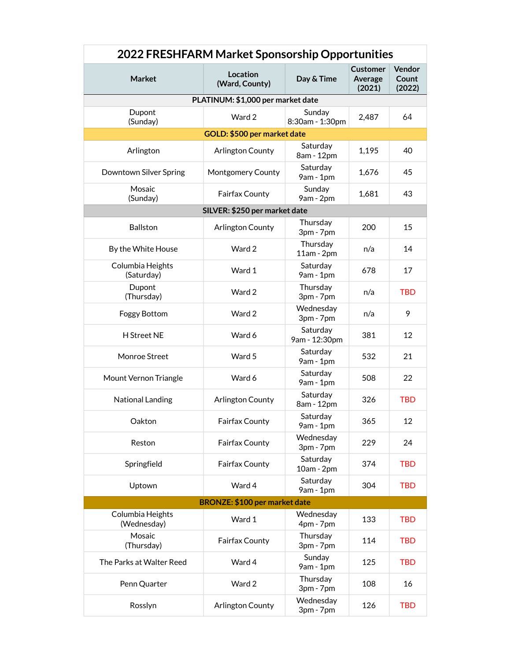| 2022 FRESHFARM Market Sponsorship Opportunities |                            |                           |                               |                           |
|-------------------------------------------------|----------------------------|---------------------------|-------------------------------|---------------------------|
| <b>Market</b>                                   | Location<br>(Ward, County) | Day & Time                | Customer<br>Average<br>(2021) | Vendor<br>Count<br>(2022) |
| PLATINUM: \$1,000 per market date               |                            |                           |                               |                           |
| Dupont<br>(Sunday)                              | Ward 2                     | Sunday<br>8:30am - 1:30pm | 2,487                         | 64                        |
| GOLD: \$500 per market date                     |                            |                           |                               |                           |
| Arlington                                       | Arlington County           | Saturday<br>8am - 12pm    | 1,195                         | 40                        |
| Downtown Silver Spring                          | Montgomery County          | Saturday<br>9am - 1pm     | 1,676                         | 45                        |
| Mosaic<br>(Sunday)                              | Fairfax County             | Sunday<br>9am - 2pm       | 1,681                         | 43                        |
| SILVER: \$250 per market date                   |                            |                           |                               |                           |
| <b>Ballston</b>                                 | <b>Arlington County</b>    | Thursday<br>3pm - 7pm     | 200                           | 15                        |
| By the White House                              | Ward 2                     | Thursday<br>$11am - 2pm$  | n/a                           | 14                        |
| Columbia Heights<br>(Saturday)                  | Ward 1                     | Saturday<br>9am - 1pm     | 678                           | 17                        |
| Dupont<br>(Thursday)                            | Ward 2                     | Thursday<br>3pm - 7pm     | n/a                           | <b>TBD</b>                |
| Foggy Bottom                                    | Ward 2                     | Wednesday<br>3pm - 7pm    | n/a                           | 9                         |
| <b>H</b> Street NE                              | Ward 6                     | Saturday<br>9am - 12:30pm | 381                           | 12                        |
| Monroe Street                                   | Ward 5                     | Saturday<br>9am - 1pm     | 532                           | 21                        |
| Mount Vernon Triangle                           | Ward 6                     | Saturday<br>9am - 1pm     | 508                           | 22                        |
| National Landing                                | Arlington County           | Saturday<br>8am - 12pm    | 326                           | <b>TBD</b>                |
| Oakton                                          | Fairfax County             | Saturday<br>9am - 1pm     | 365                           | 12                        |
| Reston                                          | Fairfax County             | Wednesday<br>3pm - 7pm    | 229                           | 24                        |
| Springfield                                     | Fairfax County             | Saturday<br>10am - 2pm    | 374                           | <b>TBD</b>                |
| Uptown                                          | Ward 4                     | Saturday<br>9am - 1pm     | 304                           | <b>TBD</b>                |
| BRONZE: \$100 per market date                   |                            |                           |                               |                           |
| Columbia Heights<br>(Wednesday)                 | Ward 1                     | Wednesday<br>4pm - 7pm    | 133                           | <b>TBD</b>                |
| Mosaic<br>(Thursday)                            | Fairfax County             | Thursday<br>3pm - 7pm     | 114                           | <b>TBD</b>                |
| The Parks at Walter Reed                        | Ward 4                     | Sunday<br>9am - 1pm       | 125                           | <b>TBD</b>                |
| Penn Quarter                                    | Ward 2                     | Thursday<br>3pm - 7pm     | 108                           | 16                        |
| Rosslyn                                         | Arlington County           | Wednesday<br>3pm - 7pm    | 126                           | <b>TBD</b>                |